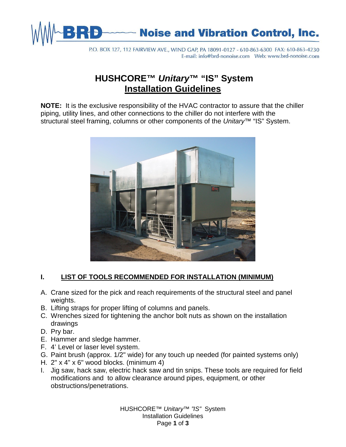

P.O. BOX 127, 112 FAIRVIEW AVE., WIND GAP, PA 18091-0127 - 610-863-6300 FAX: 610-863-4230 

# **HUSHCORE™** *Unitary***™ "IS" System Installation Guidelines**

**NOTE:** It is the exclusive responsibility of the HVAC contractor to assure that the chiller piping, utility lines, and other connections to the chiller do not interfere with the structural steel framing, columns or other components of the *Unitary*™ "IS" System.



## **I. LIST OF TOOLS RECOMMENDED FOR INSTALLATION (MINIMUM)**

- A. Crane sized for the pick and reach requirements of the structural steel and panel weights.
- B. Lifting straps for proper lifting of columns and panels.
- C. Wrenches sized for tightening the anchor bolt nuts as shown on the installation drawings
- D. Pry bar.
- E. Hammer and sledge hammer.
- F. 4' Level or laser level system.
- G. Paint brush (approx. 1/2" wide) for any touch up needed (for painted systems only)
- H. 2" x 4" x 6" wood blocks. (minimum 4)
- I. Jig saw, hack saw, electric hack saw and tin snips. These tools are required for field modifications and to allow clearance around pipes, equipment, or other obstructions/penetrations.

HUSHCORE™ *Unitary™ "IS"* System Installation Guidelines Page **1** of **3**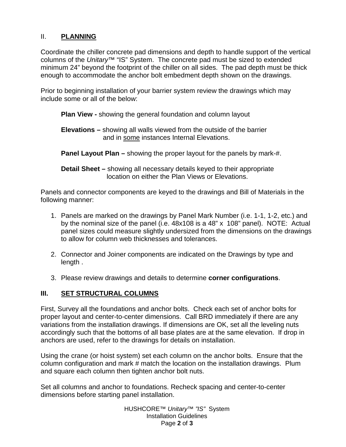### II. **PLANNING**

Coordinate the chiller concrete pad dimensions and depth to handle support of the vertical columns of the *Unitary*™ "IS" System. The concrete pad must be sized to extended minimum 24" beyond the footprint of the chiller on all sides. The pad depth must be thick enough to accommodate the anchor bolt embedment depth shown on the drawings.

Prior to beginning installation of your barrier system review the drawings which may include some or all of the below:

**Plan View -** showing the general foundation and column layout

**Elevations –** showing all walls viewed from the outside of the barrier and in some instances Internal Elevations.

**Panel Layout Plan –** showing the proper layout for the panels by mark-#.

**Detail Sheet –** showing all necessary details keyed to their appropriate location on either the Plan Views or Elevations.

Panels and connector components are keyed to the drawings and Bill of Materials in the following manner:

- 1. Panels are marked on the drawings by Panel Mark Number (i.e. 1-1, 1-2, etc.) and by the nominal size of the panel (i.e. 48x108 is a 48" x 108" panel). NOTE: Actual panel sizes could measure slightly undersized from the dimensions on the drawings to allow for column web thicknesses and tolerances.
- 2. Connector and Joiner components are indicated on the Drawings by type and length .
- 3. Please review drawings and details to determine **corner configurations**.

### **III. SET STRUCTURAL COLUMNS**

First, Survey all the foundations and anchor bolts. Check each set of anchor bolts for proper layout and center-to-center dimensions. Call BRD immediately if there are any variations from the installation drawings. If dimensions are OK, set all the leveling nuts accordingly such that the bottoms of all base plates are at the same elevation. If drop in anchors are used, refer to the drawings for details on installation.

Using the crane (or hoist system) set each column on the anchor bolts. Ensure that the column configuration and mark # match the location on the installation drawings. Plum and square each column then tighten anchor bolt nuts.

Set all columns and anchor to foundations. Recheck spacing and center-to-center dimensions before starting panel installation.

> HUSHCORE™ *Unitary™ "IS"* System Installation Guidelines Page **2** of **3**